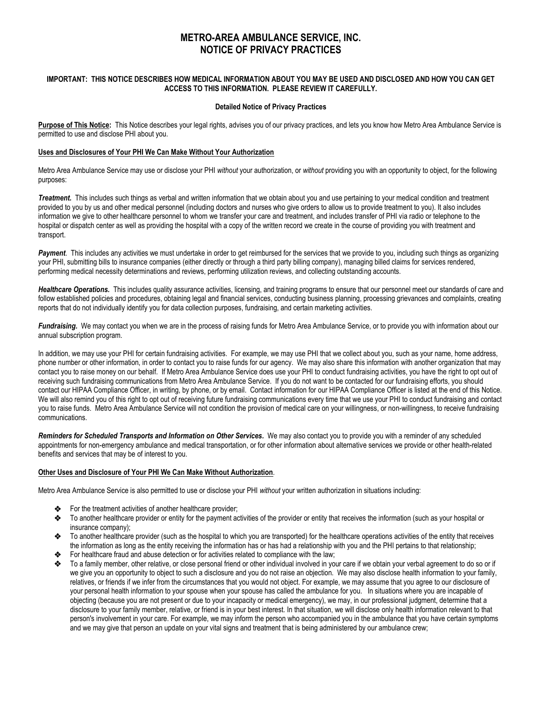# **METRO-AREA AMBULANCE SERVICE, INC. NOTICE OF PRIVACY PRACTICES**

# **IMPORTANT: THIS NOTICE DESCRIBES HOW MEDICAL INFORMATION ABOUT YOU MAY BE USED AND DISCLOSED AND HOW YOU CAN GET ACCESS TO THIS INFORMATION. PLEASE REVIEW IT CAREFULLY.**

# **Detailed Notice of Privacy Practices**

**Purpose of This Notice:**This Notice describes your legal rights, advises you of our privacy practices, and lets you know how Metro Area Ambulance Service is permitted to use and disclose PHI about you.

# **Uses and Disclosures of Your PHI We Can Make Without Your Authorization**

Metro Area Ambulance Service may use or disclose your PHI *without* your authorization, or *without* providing you with an opportunity to object, for the following purposes:

*Treatment.* This includes such things as verbal and written information that we obtain about you and use pertaining to your medical condition and treatment provided to you by us and other medical personnel (including doctors and nurses who give orders to allow us to provide treatment to you). It also includes information we give to other healthcare personnel to whom we transfer your care and treatment, and includes transfer of PHI via radio or telephone to the hospital or dispatch center as well as providing the hospital with a copy of the written record we create in the course of providing you with treatment and transport.

Payment. This includes any activities we must undertake in order to get reimbursed for the services that we provide to you, including such things as organizing your PHI, submitting bills to insurance companies (either directly or through a third party billing company), managing billed claims for services rendered, performing medical necessity determinations and reviews, performing utilization reviews, and collecting outstanding accounts.

*Healthcare Operations.* This includes quality assurance activities, licensing, and training programs to ensure that our personnel meet our standards of care and follow established policies and procedures, obtaining legal and financial services, conducting business planning, processing grievances and complaints, creating reports that do not individually identify you for data collection purposes, fundraising, and certain marketing activities.

Fundraising. We may contact you when we are in the process of raising funds for Metro Area Ambulance Service, or to provide you with information about our annual subscription program.

In addition, we may use your PHI for certain fundraising activities. For example, we may use PHI that we collect about you, such as your name, home address, phone number or other information, in order to contact you to raise funds for our agency. We may also share this information with another organization that may contact you to raise money on our behalf. If Metro Area Ambulance Service does use your PHI to conduct fundraising activities, you have the right to opt out of receiving such fundraising communications from Metro Area Ambulance Service. If you do not want to be contacted for our fundraising efforts, you should contact our HIPAA Compliance Officer, in writing, by phone, or by email. Contact information for our HIPAA Compliance Officer is listed at the end of this Notice. We will also remind you of this right to opt out of receiving future fundraising communications every time that we use your PHI to conduct fundraising and contact you to raise funds. Metro Area Ambulance Service will not condition the provision of medical care on your willingness, or non-willingness, to receive fundraising communications.

*Reminders for Scheduled Transports and Information on Other Services.* We may also contact you to provide you with a reminder of any scheduled appointments for non-emergency ambulance and medical transportation, or for other information about alternative services we provide or other health-related benefits and services that may be of interest to you.

# **Other Uses and Disclosure of Your PHI We Can Make Without Authorization***.*

Metro Area Ambulance Service is also permitted to use or disclose your PHI *without* your written authorization in situations including:

- For the treatment activities of another healthcare provider;
- To another healthcare provider or entity for the payment activities of the provider or entity that receives the information (such as your hospital or insurance company);
- To another healthcare provider (such as the hospital to which you are transported) for the healthcare operations activities of the entity that receives the information as long as the entity receiving the information has or has had a relationship with you and the PHI pertains to that relationship;
- For healthcare fraud and abuse detection or for activities related to compliance with the law;
- To a family member, other relative, or close personal friend or other individual involved in your care if we obtain your verbal agreement to do so or if we give you an opportunity to object to such a disclosure and you do not raise an objection. We may also disclose health information to your family, relatives, or friends if we infer from the circumstances that you would not object. For example, we may assume that you agree to our disclosure of your personal health information to your spouse when your spouse has called the ambulance for you. In situations where you are incapable of objecting (because you are not present or due to your incapacity or medical emergency), we may, in our professional judgment, determine that a disclosure to your family member, relative, or friend is in your best interest. In that situation, we will disclose only health information relevant to that person's involvement in your care. For example, we may inform the person who accompanied you in the ambulance that you have certain symptoms and we may give that person an update on your vital signs and treatment that is being administered by our ambulance crew;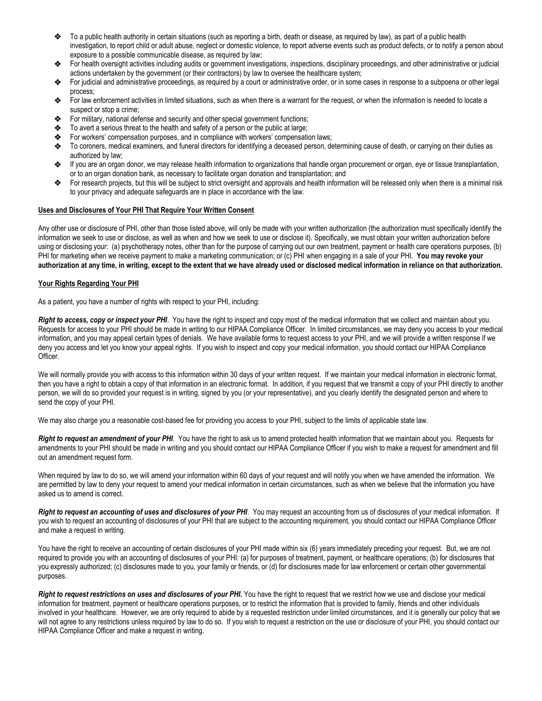- To a public health authority in certain situations (such as reporting a birth, death or disease, as required by law), as part of a public health investigation, to report child or adult abuse, neglect or domestic violence, to report adverse events such as product defects, or to notify a person about exposure to a possible communicable disease, as required by law;
- For health oversight activities including audits or government investigations, inspections, disciplinary proceedings, and other administrative or judicial actions undertaken by the government (or their contractors) by law to oversee the healthcare system;
- For judicial and administrative proceedings, as required by a court or administrative order, or in some cases in response to a subpoena or other legal process;
- For law enforcement activities in limited situations, such as when there is a warrant for the request, or when the information is needed to locate a suspect or stop a crime;
- For military, national defense and security and other special government functions;
- To avert a serious threat to the health and safety of a person or the public at large;
- For workers' compensation purposes, and in compliance with workers' compensation laws;<br>
To coroners, medical examiners, and funeral directors for identifying a deceased person, de
- To coroners, medical examiners, and funeral directors for identifying a deceased person, determining cause of death, or carrying on their duties as authorized by law;
- If you are an organ donor, we may release health information to organizations that handle organ procurement or organ, eye or tissue transplantation, or to an organ donation bank, as necessary to facilitate organ donation and transplantation; and
- For research projects, but this will be subject to strict oversight and approvals and health information will be released only when there is a minimal risk to your privacy and adequate safeguards are in place in accordance with the law.

#### **Uses and Disclosures of Your PHI That Require Your Written Consent**

Any other use or disclosure of PHI, other than those listed above, will only be made with your written authorization (the authorization must specifically identify the information we seek to use or disclose, as well as when and how we seek to use or disclose it). Specifically, we must obtain your written authorization before using or disclosing your: (a) psychotherapy notes, other than for the purpose of carrying out our own treatment, payment or health care operations purposes, (b) PHI for marketing when we receive payment to make a marketing communication; or (c) PHI when engaging in a sale of your PHI. **You may revoke your authorization at any time, in writing, except to the extent that we have already used or disclosed medical information in reliance on that authorization.**

# **Your Rights Regarding Your PHI**

As a patient, you have a number of rights with respect to your PHI, including:

*Right to access, copy or inspect your PHI*. You have the right to inspect and copy most of the medical information that we collect and maintain about you. Requests for access to your PHI should be made in writing to our HIPAA Compliance Officer. In limited circumstances, we may deny you access to your medical information, and you may appeal certain types of denials. We have available forms to request access to your PHI, and we will provide a written response if we deny you access and let you know your appeal rights. If you wish to inspect and copy your medical information, you should contact our HIPAA Compliance Officer.

We will normally provide you with access to this information within 30 days of your written request. If we maintain your medical information in electronic format, then you have a right to obtain a copy of that information in an electronic format. In addition, if you request that we transmit a copy of your PHI directly to another person, we will do so provided your request is in writing, signed by you (or your representative), and you clearly identify the designated person and where to send the copy of your PHI.

We may also charge you a reasonable cost-based fee for providing you access to your PHI, subject to the limits of applicable state law.

*Right to request an amendment of your PHI*. You have the right to ask us to amend protected health information that we maintain about you. Requests for amendments to your PHI should be made in writing and you should contact our HIPAA Compliance Officer if you wish to make a request for amendment and fill out an amendment request form.

When required by law to do so, we will amend your information within 60 days of your request and will notify you when we have amended the information. We are permitted by law to deny your request to amend your medical information in certain circumstances, such as when we believe that the information you have asked us to amend is correct.

*Right to request an accounting of uses and disclosures of your PHI*. You may request an accounting from us of disclosures of your medical information. If you wish to request an accounting of disclosures of your PHI that are subject to the accounting requirement, you should contact our HIPAA Compliance Officer and make a request in writing.

You have the right to receive an accounting of certain disclosures of your PHI made within six (6) years immediately preceding your request. But, we are not required to provide you with an accounting of disclosures of your PHI: (a) for purposes of treatment, payment, or healthcare operations; (b) for disclosures that you expressly authorized; (c) disclosures made to you, your family or friends, or (d) for disclosures made for law enforcement or certain other governmental purposes.

*Right to request restrictions on uses and disclosures of your PHI.* You have the right to request that we restrict how we use and disclose your medical information for treatment, payment or healthcare operations purposes, or to restrict the information that is provided to family, friends and other individuals involved in your healthcare. However, we are only required to abide by a requested restriction under limited circumstances, and it is generally our policy that we will not agree to any restrictions unless required by law to do so. If you wish to request a restriction on the use or disclosure of your PHI, you should contact our HIPAA Compliance Officer and make a request in writing.